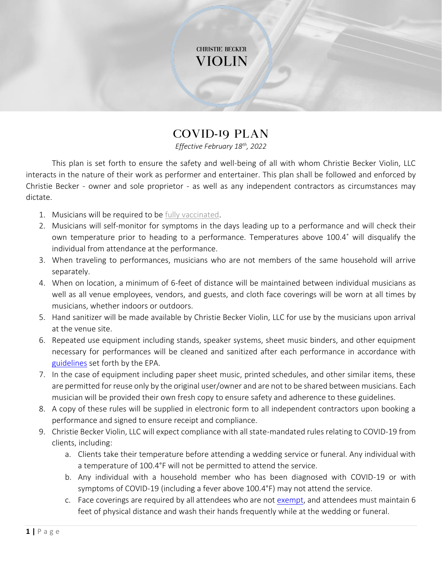## **CHRISTIE BECKER** VIOLIN

## COVID-19 Plan

*Effective February 18th, 2022*

This plan is set forth to ensure the safety and well-being of all with whom Christie Becker Violin, LLC interacts in the nature of their work as performer and entertainer. This plan shall be followed and enforced by Christie Becker - owner and sole proprietor - as well as any independent contractors as circumstances may dictate.

- 1. Musicians will be required to be [fully vaccinated.](https://www.governor.wa.gov/sites/default/files/COVID19%20Facial%20Coverings%20Guidance.pdf)
- 2. Musicians will self-monitor for symptoms in the days leading up to a performance and will check their own temperature prior to heading to a performance. Temperatures above 100.4˚ will disqualify the individual from attendance at the performance.
- 3. When traveling to performances, musicians who are not members of the same household will arrive separately.
- 4. When on location, a minimum of 6-feet of distance will be maintained between individual musicians as well as all venue employees, vendors, and guests, and cloth face coverings will be worn at all times by musicians, whether indoors or outdoors.
- 5. Hand sanitizer will be made available by Christie Becker Violin, LLC for use by the musicians upon arrival at the venue site.
- 6. Repeated use equipment including stands, speaker systems, sheet music binders, and other equipment necessary for performances will be cleaned and sanitized after each performance in accordance with [guidelines](https://www.epa.gov/pesticide-registration/list-n-disinfectants-use-against-sars-cov-2-covid-19) set forth by the EPA.
- 7. In the case of equipment including paper sheet music, printed schedules, and other similar items, these are permitted for reuse only by the original user/owner and are not to be shared between musicians. Each musician will be provided their own fresh copy to ensure safety and adherence to these guidelines.
- 8. A copy of these rules will be supplied in electronic form to all independent contractors upon booking a performance and signed to ensure receipt and compliance.
- 9. Christie Becker Violin, LLC will expect compliance with all state-mandated rules relating to COVID-19 from clients, including:
	- a. Clients take their temperature before attending a wedding service or funeral. Any individual with a temperature of 100.4°F will not be permitted to attend the service.
	- b. Any individual with a household member who has been diagnosed with COVID-19 or with symptoms of COVID-19 (including a fever above 100.4°F) may not attend the service.
	- c. Face coverings are required by all attendees who are not [exempt,](https://www.coronavirus.wa.gov/information-for/you-and-your-family/face-masks-or-cloth-face-covering) and attendees must maintain 6 feet of physical distance and wash their hands frequently while at the wedding or funeral.